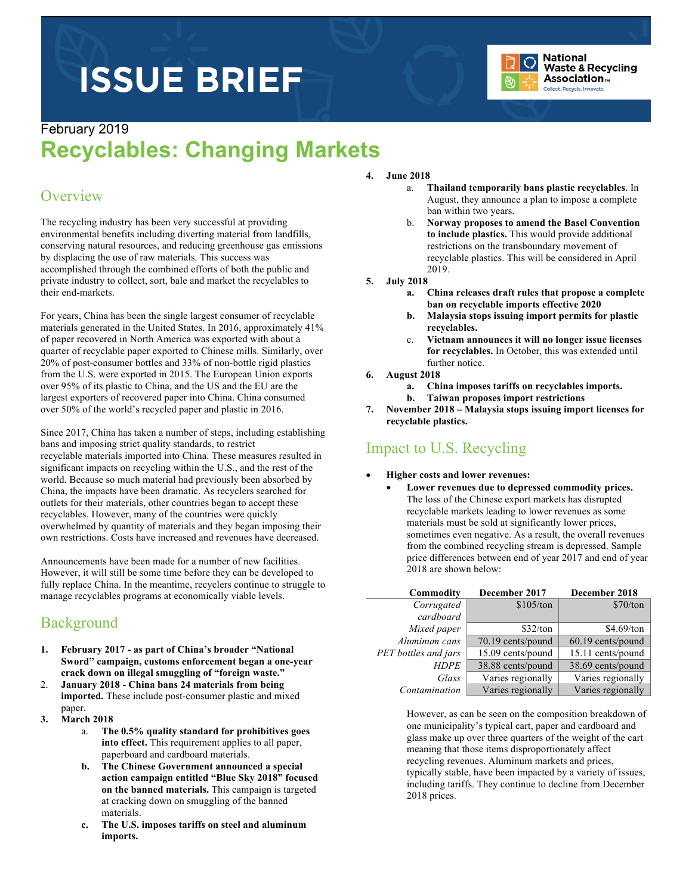# **ISSUE BRIEF**



#### February 2019

## **Recyclables: Changing Markets**

#### **Overview**

The recycling industry has been very successful at providing environmental benefits including diverting material from landfills, conserving natural resources, and reducing greenhouse gas emissions by displacing the use of raw materials. This success was accomplished through the combined efforts of both the public and private industry to collect, sort, bale and market the recyclables to their end-markets.

For years, China has been the single largest consumer of recyclable materials generated in the United States. In 2016, approximately 41% of paper recovered in North America was exported with about a quarter of recyclable paper exported to Chinese mills. Similarly, over 20% of post-consumer bottles and 33% of non-bottle rigid plastics from the U.S. were exported in 2015. The European Union exports over 95% of its plastic to China, and the US and the EU are the largest exporters of recovered paper into China. China consumed over 50% of the world's recycled paper and plastic in 2016.

Since 2017, China has taken a number of steps, including establishing bans and imposing strict quality standards, to restrict recyclable materials imported into China. These measures resulted in significant impacts on recycling within the U.S., and the rest of the world. Because so much material had previously been absorbed by China, the impacts have been dramatic. As recyclers searched for outlets for their materials, other countries began to accept these recyclables. However, many of the countries were quickly overwhelmed by quantity of materials and they began imposing their own restrictions. Costs have increased and revenues have decreased.

Announcements have been made for a number of new facilities. However, it will still be some time before they can be developed to fully replace China. In the meantime, recyclers continue to struggle to manage recyclables programs at economically viable levels.

## **Background**

- **1. February 2017 - as part of China's broader "National Sword" campaign, customs enforcement began a one-year crack down on illegal smuggling of "foreign waste."**
- 2. **January 2018 - China bans 24 materials from being imported.** These include post-consumer plastic and mixed paper.
- **3. March 2018**
	- a. **The 0.5% quality standard for prohibitives goes into effect.** This requirement applies to all paper, paperboard and cardboard materials.
	- **b. The Chinese Government announced a special action campaign entitled "Blue Sky 2018" focused on the banned materials.** This campaign is targeted at cracking down on smuggling of the banned materials.
	- **c. The U.S. imposes tariffs on steel and aluminum imports.**

#### **4. June 2018**

- a. **Thailand temporarily bans plastic recyclables**. In August, they announce a plan to impose a complete ban within two years.
- b. **Norway proposes to amend the Basel Convention to include plastics.** This would provide additional restrictions on the transboundary movement of recyclable plastics. This will be considered in April 2019.
- **5. July 2018** 
	- **a. China releases draft rules that propose a complete ban on recyclable imports effective 2020**
	- **b. Malaysia stops issuing import permits for plastic recyclables.**
	- c. **Vietnam announces it will no longer issue licenses for recyclables.** In October, this was extended until further notice.
- **6. August 2018**
	- **a. China imposes tariffs on recyclables imports.**
	- **b. Taiwan proposes import restrictions**
- **7. November 2018 – Malaysia stops issuing import licenses for recyclable plastics.**

## Impact to U.S. Recycling

- **Higher costs and lower revenues:**
	- **Lower revenues due to depressed commodity prices.**  The loss of the Chinese export markets has disrupted recyclable markets leading to lower revenues as some materials must be sold at significantly lower prices, sometimes even negative. As a result, the overall revenues from the combined recycling stream is depressed. Sample price differences between end of year 2017 and end of year 2018 are shown below:

| Commodity            | December 2017     | December 2018     |
|----------------------|-------------------|-------------------|
| Corrugated           | \$105/ton         | \$70/ton          |
| cardboard            |                   |                   |
| Mixed paper          | \$32/ton          | \$4.69/ton        |
| Aluminum cans        | 70.19 cents/pound | 60.19 cents/pound |
| PET bottles and jars | 15.09 cents/pound | 15.11 cents/pound |
| <b>HDPE</b>          | 38.88 cents/pound | 38.69 cents/pound |
| Glass                | Varies regionally | Varies regionally |
| Contamination        | Varies regionally | Varies regionally |

However, as can be seen on the composition breakdown of one municipality's typical cart, paper and cardboard and glass make up over three quarters of the weight of the cart meaning that those items disproportionately affect recycling revenues. Aluminum markets and prices, typically stable, have been impacted by a variety of issues, including tariffs. They continue to decline from December 2018 prices.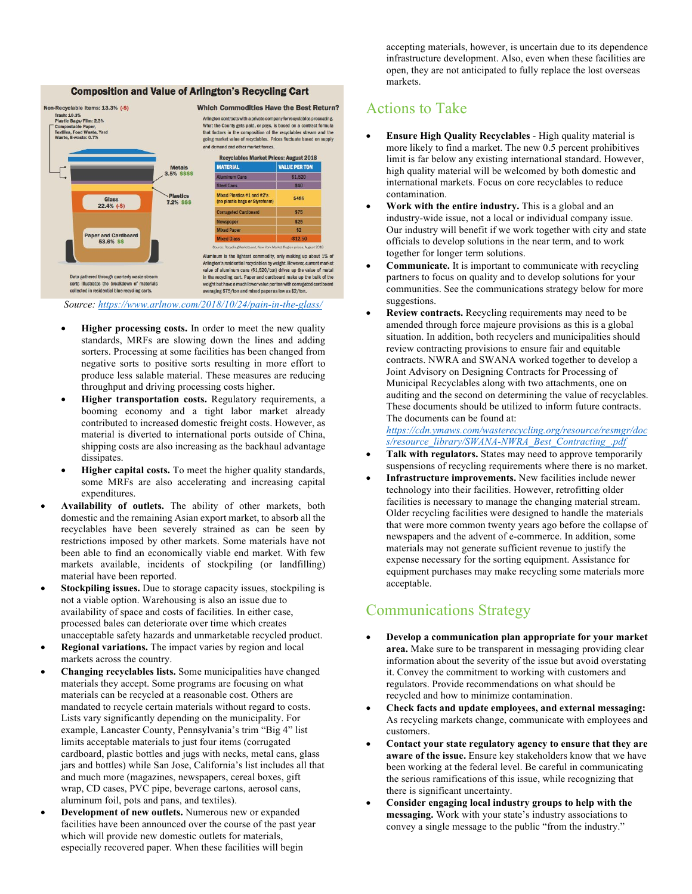#### **Composition and Value of Arlington's Recycling Cart**



*Source: https://www.arlnow.com/2018/10/24/pain-in-the-glass/*

- **Higher processing costs.** In order to meet the new quality standards, MRFs are slowing down the lines and adding sorters. Processing at some facilities has been changed from negative sorts to positive sorts resulting in more effort to produce less salable material. These measures are reducing throughput and driving processing costs higher.
- **Higher transportation costs.** Regulatory requirements, a booming economy and a tight labor market already contributed to increased domestic freight costs. However, as material is diverted to international ports outside of China, shipping costs are also increasing as the backhaul advantage dissipates.
- **Higher capital costs.** To meet the higher quality standards, some MRFs are also accelerating and increasing capital expenditures.
- **Availability of outlets.** The ability of other markets, both domestic and the remaining Asian export market, to absorb all the recyclables have been severely strained as can be seen by restrictions imposed by other markets. Some materials have not been able to find an economically viable end market. With few markets available, incidents of stockpiling (or landfilling) material have been reported.
- **Stockpiling issues.** Due to storage capacity issues, stockpiling is not a viable option. Warehousing is also an issue due to availability of space and costs of facilities. In either case, processed bales can deteriorate over time which creates unacceptable safety hazards and unmarketable recycled product.
- **Regional variations.** The impact varies by region and local markets across the country.
- **Changing recyclables lists.** Some municipalities have changed materials they accept. Some programs are focusing on what materials can be recycled at a reasonable cost. Others are mandated to recycle certain materials without regard to costs. Lists vary significantly depending on the municipality. For example, Lancaster County, Pennsylvania's trim "Big 4" list limits acceptable materials to just four items (corrugated cardboard, plastic bottles and jugs with necks, metal cans, glass jars and bottles) while San Jose, California's list includes all that and much more (magazines, newspapers, cereal boxes, gift wrap, CD cases, PVC pipe, beverage cartons, aerosol cans, aluminum foil, pots and pans, and textiles).
- **Development of new outlets.** Numerous new or expanded facilities have been announced over the course of the past year which will provide new domestic outlets for materials, especially recovered paper. When these facilities will begin

accepting materials, however, is uncertain due to its dependence infrastructure development. Also, even when these facilities are open, they are not anticipated to fully replace the lost overseas markets.

#### Actions to Take

- **Ensure High Quality Recyclables** High quality material is more likely to find a market. The new 0.5 percent prohibitives limit is far below any existing international standard. However, high quality material will be welcomed by both domestic and international markets. Focus on core recyclables to reduce contamination.
- **Work with the entire industry.** This is a global and an industry-wide issue, not a local or individual company issue. Our industry will benefit if we work together with city and state officials to develop solutions in the near term, and to work together for longer term solutions.
- **Communicate.** It is important to communicate with recycling partners to focus on quality and to develop solutions for your communities. See the communications strategy below for more suggestions.
- **Review contracts.** Recycling requirements may need to be amended through force majeure provisions as this is a global situation. In addition, both recyclers and municipalities should review contracting provisions to ensure fair and equitable contracts. NWRA and SWANA worked together to develop a Joint Advisory on Designing Contracts for Processing of Municipal Recyclables along with two attachments, one on auditing and the second on determining the value of recyclables. These documents should be utilized to inform future contracts. The documents can be found at:

*https://cdn.ymaws.com/wasterecycling.org/resource/resmgr/doc s/resource\_library/SWANA-NWRA\_Best\_Contracting\_.pdf*

- **Talk with regulators.** States may need to approve temporarily suspensions of recycling requirements where there is no market.
- **Infrastructure improvements.** New facilities include newer technology into their facilities. However, retrofitting older facilities is necessary to manage the changing material stream. Older recycling facilities were designed to handle the materials that were more common twenty years ago before the collapse of newspapers and the advent of e-commerce. In addition, some materials may not generate sufficient revenue to justify the expense necessary for the sorting equipment. Assistance for equipment purchases may make recycling some materials more acceptable.

## Communications Strategy

- **Develop a communication plan appropriate for your market area.** Make sure to be transparent in messaging providing clear information about the severity of the issue but avoid overstating it. Convey the commitment to working with customers and regulators. Provide recommendations on what should be recycled and how to minimize contamination.
- **Check facts and update employees, and external messaging:** As recycling markets change, communicate with employees and customers.
- **Contact your state regulatory agency to ensure that they are aware of the issue.** Ensure key stakeholders know that we have been working at the federal level. Be careful in communicating the serious ramifications of this issue, while recognizing that there is significant uncertainty.
- **Consider engaging local industry groups to help with the messaging.** Work with your state's industry associations to convey a single message to the public "from the industry."